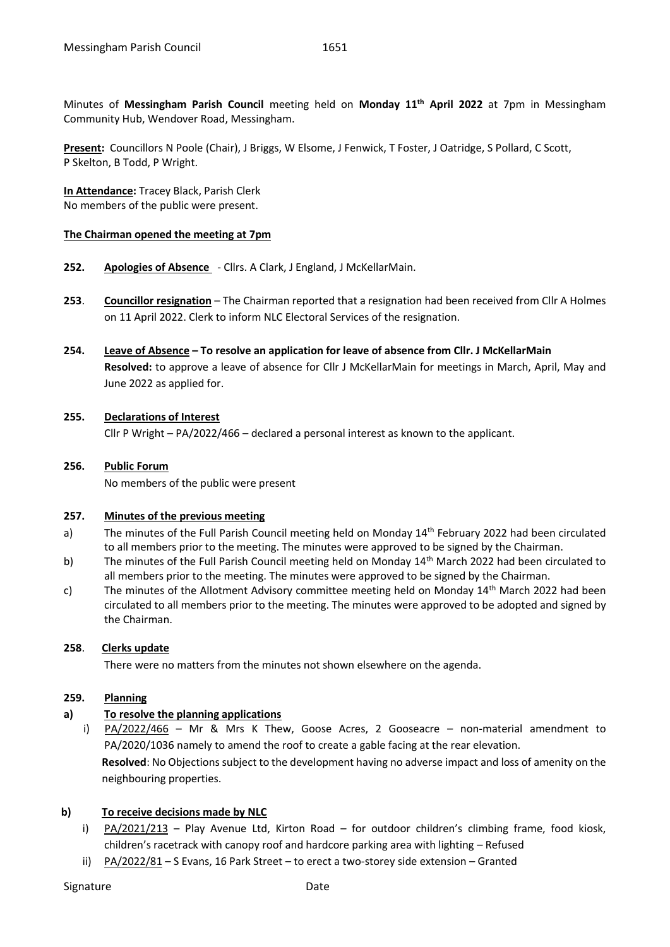Minutes of **Messingham Parish Council** meeting held on **Monday 11th April 2022** at 7pm in Messingham Community Hub, Wendover Road, Messingham.

**Present:** Councillors N Poole (Chair), J Briggs, W Elsome, J Fenwick, T Foster, J Oatridge, S Pollard, C Scott, P Skelton, B Todd, P Wright.

**In Attendance:** Tracey Black, Parish Clerk No members of the public were present.

#### **The Chairman opened the meeting at 7pm**

- **252. Apologies of Absence** Cllrs. A Clark, J England, J McKellarMain.
- **253**. **Councillor resignation** The Chairman reported that a resignation had been received from Cllr A Holmes on 11 April 2022. Clerk to inform NLC Electoral Services of the resignation.
- **254. Leave of Absence – To resolve an application for leave of absence from Cllr. J McKellarMain Resolved:** to approve a leave of absence for Cllr J McKellarMain for meetings in March, April, May and June 2022 as applied for.

# **255. Declarations of Interest**

Cllr P Wright – PA/2022/466 – declared a personal interest as known to the applicant.

# **256. Public Forum**

No members of the public were present

#### **257. Minutes of the previous meeting**

- a) The minutes of the Full Parish Council meeting held on Monday 14<sup>th</sup> February 2022 had been circulated to all members prior to the meeting. The minutes were approved to be signed by the Chairman.
- b) The minutes of the Full Parish Council meeting held on Monday 14<sup>th</sup> March 2022 had been circulated to all members prior to the meeting. The minutes were approved to be signed by the Chairman.
- c) The minutes of the Allotment Advisory committee meeting held on Monday 14<sup>th</sup> March 2022 had been circulated to all members prior to the meeting. The minutes were approved to be adopted and signed by the Chairman.

# **258**. **Clerks update**

There were no matters from the minutes not shown elsewhere on the agenda.

#### **259. Planning**

# **a) To resolve the planning applications**

i) PA/2022/466 – Mr & Mrs K Thew, Goose Acres, 2 Gooseacre – non-material amendment to PA/2020/1036 namely to amend the roof to create a gable facing at the rear elevation. **Resolved**: No Objections subject to the development having no adverse impact and loss of amenity on the neighbouring properties.

# **b) To receive decisions made by NLC**

- i) PA/2021/213 Play Avenue Ltd, Kirton Road for outdoor children's climbing frame, food kiosk, children's racetrack with canopy roof and hardcore parking area with lighting – Refused
- ii) PA/2022/81 S Evans, 16 Park Street to erect a two-storey side extension Granted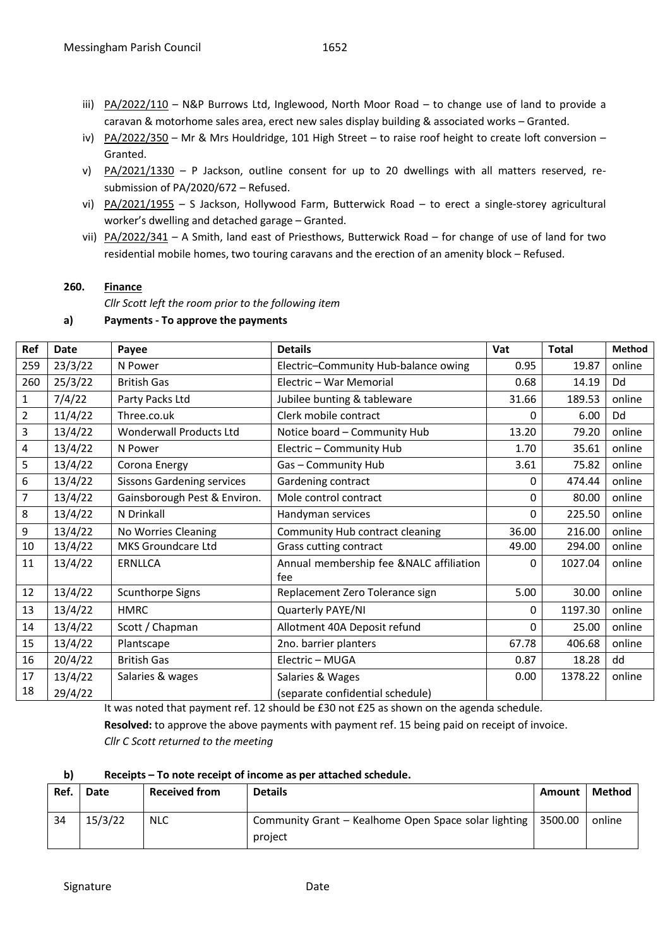- iii)  $PA/2022/110 N&P$  Burrows Ltd, Inglewood, North Moor Road to change use of land to provide a caravan & motorhome sales area, erect new sales display building & associated works – Granted.
- iv) PA/2022/350 Mr & Mrs Houldridge, 101 High Street to raise roof height to create loft conversion -Granted.
- v) PA/2021/1330 P Jackson, outline consent for up to 20 dwellings with all matters reserved, resubmission of PA/2020/672 – Refused.
- vi) PA/2021/1955 S Jackson, Hollywood Farm, Butterwick Road to erect a single-storey agricultural worker's dwelling and detached garage – Granted.
- vii) PA/2022/341 A Smith, land east of Priesthows, Butterwick Road for change of use of land for two residential mobile homes, two touring caravans and the erection of an amenity block – Refused.

# **260. Finance**

*Cllr Scott left the room prior to the following item*

**a) Payments - To approve the payments**

| Ref            | <b>Date</b> | Payee                             | <b>Details</b>                          | Vat   | <b>Total</b> | Method |
|----------------|-------------|-----------------------------------|-----------------------------------------|-------|--------------|--------|
| 259            | 23/3/22     | N Power                           | Electric-Community Hub-balance owing    | 0.95  | 19.87        | online |
| 260            | 25/3/22     | <b>British Gas</b>                | Electric - War Memorial                 | 0.68  | 14.19        | Dd     |
| $\mathbf{1}$   | 7/4/22      | Party Packs Ltd                   | Jubilee bunting & tableware             | 31.66 | 189.53       | online |
| $\overline{2}$ | 11/4/22     | Three.co.uk                       | Clerk mobile contract                   | 0     | 6.00         | Dd     |
| 3              | 13/4/22     | <b>Wonderwall Products Ltd</b>    | Notice board - Community Hub            | 13.20 | 79.20        | online |
| $\overline{4}$ | 13/4/22     | N Power                           | Electric - Community Hub                | 1.70  | 35.61        | online |
| 5              | 13/4/22     | Corona Energy                     | Gas-Community Hub                       | 3.61  | 75.82        | online |
| 6              | 13/4/22     | <b>Sissons Gardening services</b> | Gardening contract                      | 0     | 474.44       | online |
| $\overline{7}$ | 13/4/22     | Gainsborough Pest & Environ.      | Mole control contract                   | 0     | 80.00        | online |
| 8              | 13/4/22     | N Drinkall                        | Handyman services                       | 0     | 225.50       | online |
| 9              | 13/4/22     | No Worries Cleaning               | Community Hub contract cleaning         | 36.00 | 216.00       | online |
| 10             | 13/4/22     | MKS Groundcare Ltd                | Grass cutting contract                  | 49.00 | 294.00       | online |
| 11             | 13/4/22     | <b>ERNLLCA</b>                    | Annual membership fee &NALC affiliation | 0     | 1027.04      | online |
|                |             |                                   | fee                                     |       |              |        |
| 12             | 13/4/22     | Scunthorpe Signs                  | Replacement Zero Tolerance sign         | 5.00  | 30.00        | online |
| 13             | 13/4/22     | <b>HMRC</b>                       | Quarterly PAYE/NI                       | 0     | 1197.30      | online |
| 14             | 13/4/22     | Scott / Chapman                   | Allotment 40A Deposit refund            | 0     | 25.00        | online |
| 15             | 13/4/22     | Plantscape                        | 2no. barrier planters                   | 67.78 | 406.68       | online |
| 16             | 20/4/22     | <b>British Gas</b>                | Electric - MUGA                         | 0.87  | 18.28        | dd     |
| 17             | 13/4/22     | Salaries & wages                  | Salaries & Wages                        | 0.00  | 1378.22      | online |
| 18             | 29/4/22     |                                   | (separate confidential schedule)        |       |              |        |

It was noted that payment ref. 12 should be £30 not £25 as shown on the agenda schedule.

**Resolved:** to approve the above payments with payment ref. 15 being paid on receipt of invoice. *Cllr C Scott returned to the meeting*

**b) Receipts – To note receipt of income as per attached schedule.**

| Ref. | <b>Date</b> | <b>Received from</b> | <b>Details</b>                                                  | Amount  | Method |
|------|-------------|----------------------|-----------------------------------------------------------------|---------|--------|
| 34   | 15/3/22     | <b>NLC</b>           | Community Grant – Kealhome Open Space solar lighting<br>project | 3500.00 | online |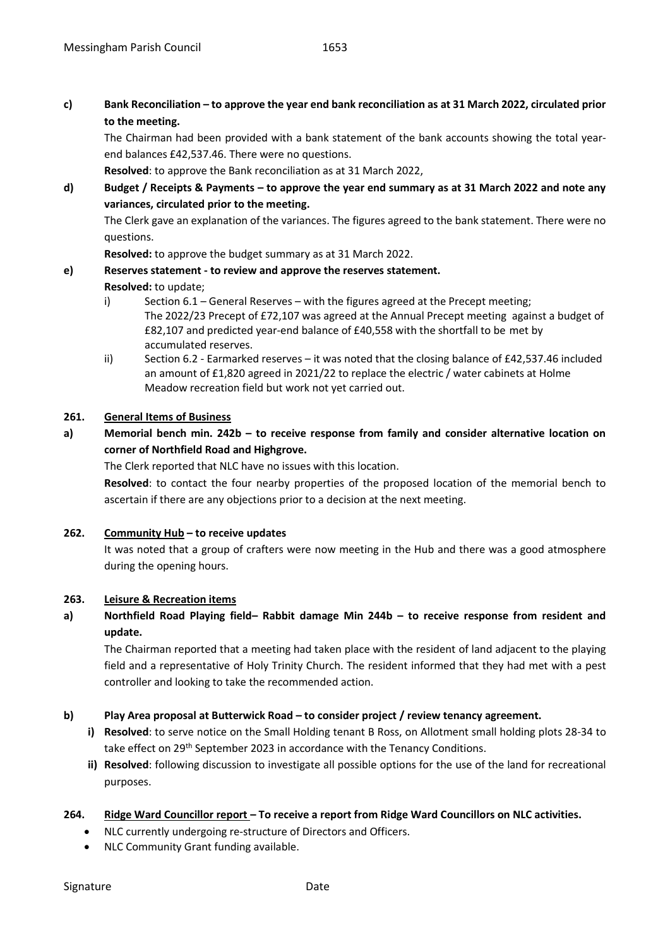**c) Bank Reconciliation – to approve the year end bank reconciliation as at 31 March 2022, circulated prior to the meeting.**

The Chairman had been provided with a bank statement of the bank accounts showing the total yearend balances £42,537.46. There were no questions.

**Resolved**: to approve the Bank reconciliation as at 31 March 2022,

**d) Budget / Receipts & Payments – to approve the year end summary as at 31 March 2022 and note any variances, circulated prior to the meeting.**

The Clerk gave an explanation of the variances. The figures agreed to the bank statement. There were no questions.

**Resolved:** to approve the budget summary as at 31 March 2022.

# **e) Reserves statement - to review and approve the reserves statement.**

# **Resolved:** to update;

- i) Section 6.1 General Reserves with the figures agreed at the Precept meeting; The 2022/23 Precept of £72,107 was agreed at the Annual Precept meeting against a budget of £82,107 and predicted year-end balance of £40,558 with the shortfall to be met by accumulated reserves.
- ii) Section 6.2 Earmarked reserves it was noted that the closing balance of £42,537.46 included an amount of £1,820 agreed in 2021/22 to replace the electric / water cabinets at Holme Meadow recreation field but work not yet carried out.

# **261. General Items of Business**

**a) Memorial bench min. 242b – to receive response from family and consider alternative location on corner of Northfield Road and Highgrove.** 

The Clerk reported that NLC have no issues with this location.

**Resolved**: to contact the four nearby properties of the proposed location of the memorial bench to ascertain if there are any objections prior to a decision at the next meeting.

# **262. Community Hub – to receive updates**

It was noted that a group of crafters were now meeting in the Hub and there was a good atmosphere during the opening hours.

# **263. Leisure & Recreation items**

**a) Northfield Road Playing field– Rabbit damage Min 244b – to receive response from resident and update.**

The Chairman reported that a meeting had taken place with the resident of land adjacent to the playing field and a representative of Holy Trinity Church. The resident informed that they had met with a pest controller and looking to take the recommended action.

# **b) Play Area proposal at Butterwick Road – to consider project / review tenancy agreement.**

- **i) Resolved**: to serve notice on the Small Holding tenant B Ross, on Allotment small holding plots 28-34 to take effect on 29th September 2023 in accordance with the Tenancy Conditions.
- **ii) Resolved**: following discussion to investigate all possible options for the use of the land for recreational purposes.

# **264. Ridge Ward Councillor report – To receive a report from Ridge Ward Councillors on NLC activities.**

- NLC currently undergoing re-structure of Directors and Officers.
- NLC Community Grant funding available.